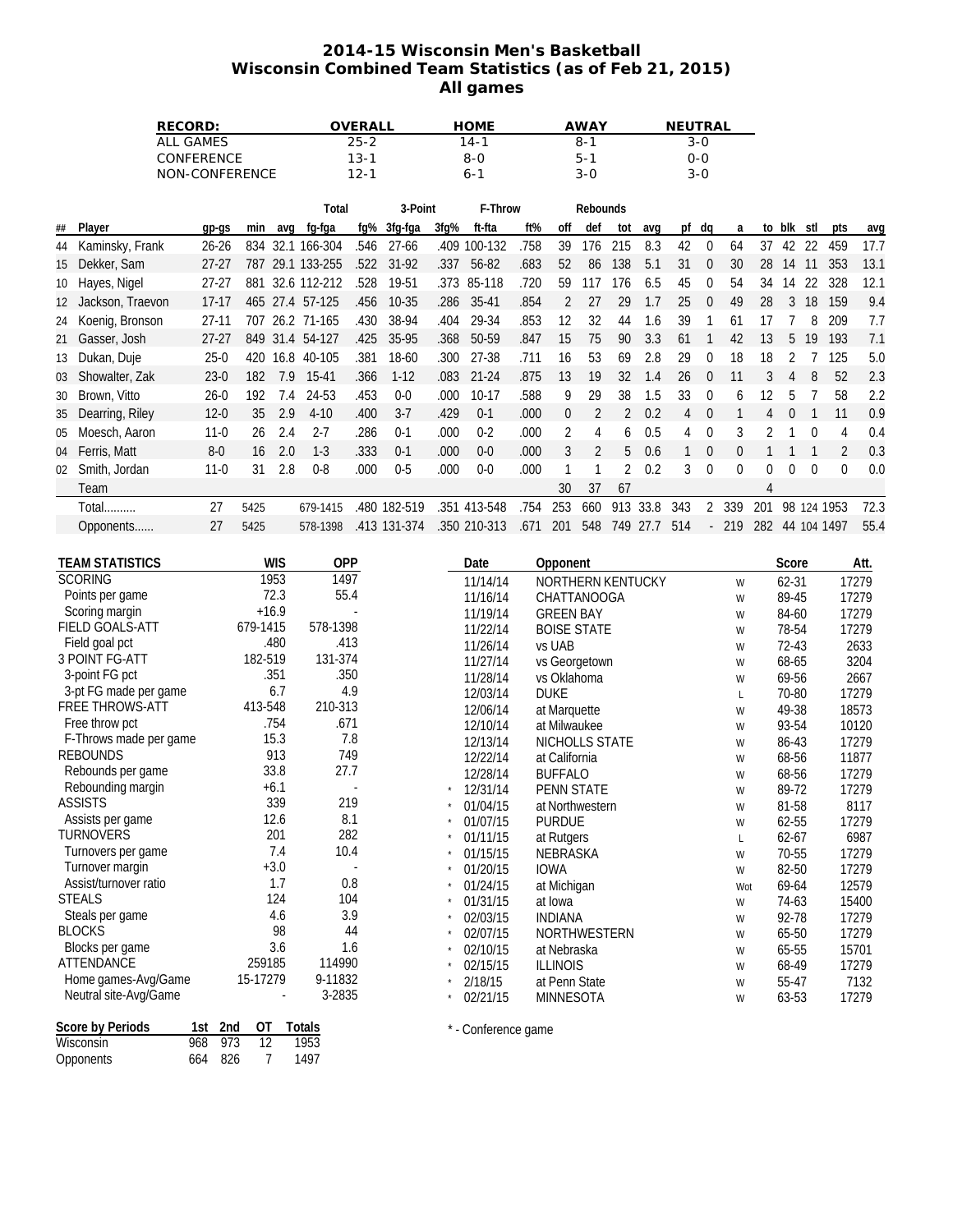## **2014-15 Wisconsin Men's Basketball Wisconsin Combined Team Statistics (as of Feb 21, 2015) All games**

| RECORD:                                         |                               |            |                               |                  |                  | OVERALL                    |                           | <b>HOME</b>                                          |                        |                                   | <b>AWAY</b>        |                          |                   |                  | NEUTRAL<br>3-0 |                       |                  |                                 |                  |                  |                 |       |  |
|-------------------------------------------------|-------------------------------|------------|-------------------------------|------------------|------------------|----------------------------|---------------------------|------------------------------------------------------|------------------------|-----------------------------------|--------------------|--------------------------|-------------------|------------------|----------------|-----------------------|------------------|---------------------------------|------------------|------------------|-----------------|-------|--|
| <b>ALL GAMES</b>                                |                               |            | $25 - 2$                      |                  |                  | $14 - 1$                   |                           |                                                      | $8 - 1$                |                                   |                    |                          |                   |                  |                |                       |                  |                                 |                  |                  |                 |       |  |
| CONFERENCE                                      |                               |            |                               | $13 - 1$         |                  |                            | $8 - 0$<br>$6 - 1$        |                                                      |                        | $5 - 1$<br>$3 - 0$                |                    |                          |                   | $0 - 0$          |                |                       |                  |                                 |                  |                  |                 |       |  |
| NON-CONFERENCE                                  |                               |            | $12 - 1$                      |                  |                  |                            |                           |                                                      |                        |                                   |                    |                          |                   | $3 - 0$          |                |                       |                  |                                 |                  |                  |                 |       |  |
|                                                 |                               |            |                               | 3-Point<br>Total |                  |                            | F-Throw                   |                                                      |                        | Rebounds                          |                    |                          |                   |                  |                |                       |                  |                                 |                  |                  |                 |       |  |
| ##                                              | Player                        | gp-gs      | min                           | avq              | fg-fga           | fg%                        | 3fg-fga                   | 3fg%                                                 | ft-fta                 | ft%                               | off                | def                      | tot               | avq              |                | pf dq                 | a                |                                 | to blk stl       |                  | pts             | avg   |  |
| 44                                              | Kaminsky, Frank               | $26 - 26$  |                               |                  | 834 32.1 166-304 | .546                       | $27 - 66$                 |                                                      | .409 100-132           | .758                              | 39                 | 176                      | 215               | 8.3              | 42             | $\mathbf 0$           | 64               |                                 | 37 42 22         |                  | 459             | 17.7  |  |
| 15                                              | Dekker, Sam                   | $27 - 27$  |                               |                  | 787 29.1 133-255 | .522                       | 31-92                     | .337                                                 | 56-82                  | .683                              | 52                 | 86                       | 138               | 5.1              | 31             | $\overline{0}$        | 30               |                                 | 28 14 11         |                  | 353             | 13.1  |  |
| 10                                              | Hayes, Nigel                  | $27 - 27$  |                               |                  | 881 32.6 112-212 | .528                       | 19-51                     |                                                      | .373 85-118            | .720                              | 59                 | 117                      | 176               | 6.5              | 45             | $\boldsymbol{0}$      | 54               |                                 | 34 14            |                  | 22 328          | 12.1  |  |
| 12                                              | Jackson, Traevon              | $17-17$    |                               |                  | 465 27.4 57-125  | .456                       | $10 - 35$                 | .286                                                 | 35-41                  | .854                              | $\overline{2}$     | 27                       | 29                | 1.7              | 25             | $\mathbf 0$           | 49               | 28                              | $\mathfrak{Z}$   | 18               | 159             | 9.4   |  |
| 24                                              | Koenig, Bronson               | $27 - 11$  |                               |                  | 707 26.2 71-165  | .430                       | 38-94                     | .404                                                 | 29-34                  | .853                              | 12                 | 32                       | 44                | 1.6              | 39             | 1                     | 61               | 17                              | $\overline{7}$   | 8                | 209             | 7.7   |  |
| 21                                              | Gasser, Josh                  | $27 - 27$  |                               |                  | 849 31.4 54-127  | .425                       | 35-95                     | .368                                                 | 50-59                  | .847                              | 15                 | 75                       | 90                | 3.3              | 61             | $\overline{1}$        | 42               | 13                              | 5                | 19               | 193             | 7.1   |  |
| 13                                              | Dukan, Duje                   | $25-0$     |                               |                  | 420 16.8 40-105  | .381                       | 18-60                     | .300                                                 | 27-38                  | .711                              | 16                 | 53                       | 69                | 2.8              | 29             | $\boldsymbol{0}$      | 18               | 18                              | 2                | $\overline{7}$   | 125             | 5.0   |  |
| 03                                              | Showalter, Zak                | $23-0$     | 182                           | 7.9              | 15-41            | .366                       | $1-12$                    | .083                                                 | $21 - 24$              | .875                              | 13                 | 19                       | 32                | 1.4              | 26             | $\overline{0}$        | 11               | 3                               | $\overline{4}$   | 8                | 52              | 2.3   |  |
| 30                                              | Brown, Vitto                  | $26 - 0$   | 192                           | 7.4              | 24-53            | .453                       | $0-0$                     | .000                                                 | $10-17$                | .588                              | 9                  | 29                       | 38                | 1.5              | 33             | $\overline{0}$        | 6                | 12                              | 5                | 7                | 58              | 2.2   |  |
| 35                                              | Dearring, Riley               | $12 - 0$   | 35                            | 2.9              | $4 - 10$         | .400                       | $3 - 7$                   | .429                                                 | $0 - 1$                | .000                              | 0                  | $\overline{2}$           | $\overline{2}$    | 0.2              | 4              | $\overline{0}$        | $\mathbf{1}$     | $\overline{4}$                  | $\boldsymbol{0}$ | $\mathbf{1}$     | 11              | 0.9   |  |
| 05                                              | Moesch, Aaron                 | $11 - 0$   | 26                            | 2.4              | $2 - 7$          | .286                       | $0 - 1$                   | .000                                                 | $0 - 2$                | .000                              | $\overline{2}$     | 4                        | 6                 | 0.5              | $\overline{4}$ | $\boldsymbol{0}$      | 3                | 2                               | 1                | $\boldsymbol{0}$ | 4               | 0.4   |  |
| 04                                              | Ferris, Matt                  | $8-0$      | 16                            | 2.0              | $1 - 3$          | .333                       | $0 - 1$                   | .000                                                 | $0-0$                  | .000                              | $\sqrt{3}$         | $\overline{2}$           | 5                 | 0.6              | $\mathbf{1}$   | $\boldsymbol{0}$      | $\boldsymbol{0}$ | $\mathbf{1}$                    | 1                | $\mathbf{1}$     | 2               | 0.3   |  |
|                                                 | Smith, Jordan                 | $11-0$     | 31                            | 2.8              | $0 - 8$          | .000                       | $0-5$                     | .000                                                 | $0-0$                  | .000                              | 1                  | $\mathbf{1}$             | 2                 | 0.2              | 3              | $\boldsymbol{0}$      | $\pmb{0}$        | 0                               | $\mathbf 0$      | $\boldsymbol{0}$ | $\mathbf{0}$    | 0.0   |  |
| 02                                              | Team                          |            |                               |                  |                  |                            |                           |                                                      |                        |                                   | 30                 | 37                       | 67                |                  |                |                       |                  | 4                               |                  |                  |                 |       |  |
|                                                 | <b>Total</b>                  | 27         | 5425                          |                  | 679-1415         |                            | .480 182-519              |                                                      | .351 413-548           | .754                              | 253                | 660                      |                   | 913 33.8         | 343            | $\overline{2}$        | 339              |                                 |                  |                  | 201 98 124 1953 | 72.3  |  |
|                                                 |                               | 27         | 5425                          |                  |                  |                            | .413 131-374              |                                                      | .350 210-313           | .671                              | 201                |                          |                   | 548 749 27.7 514 |                |                       | 219              |                                 |                  |                  | 282 44 104 1497 | 55.4  |  |
|                                                 | Opponents                     |            |                               |                  | 578-1398         |                            |                           |                                                      |                        |                                   |                    |                          |                   |                  |                | $\mathbb{Z}^{\times}$ |                  |                                 |                  |                  |                 |       |  |
|                                                 | <b>TEAM STATISTICS</b>        |            | <b>WIS</b><br><b>OPP</b>      |                  |                  |                            |                           | Date<br>Opponent                                     |                        |                                   |                    |                          |                   |                  |                |                       |                  |                                 |                  | Score            |                 | Att.  |  |
| <b>SCORING</b>                                  |                               |            |                               | 1953             | 1497             |                            |                           | 11/14/14                                             |                        |                                   |                    | <b>NORTHERN KENTUCKY</b> |                   |                  |                |                       | W                |                                 | 62-31            |                  |                 | 17279 |  |
| Points per game                                 |                               |            | 72.3<br>55.4                  |                  |                  |                            |                           | 11/16/14<br>CHATTANOOGA                              |                        |                                   |                    |                          |                   |                  |                |                       | W                |                                 | 89-45            |                  |                 | 17279 |  |
| Scoring margin                                  |                               |            |                               | $+16.9$          |                  |                            |                           | 11/19/14<br><b>GREEN BAY</b>                         |                        |                                   |                    |                          |                   |                  |                |                       | W                |                                 | 84-60            |                  |                 | 17279 |  |
| <b>FIELD GOALS-ATT</b>                          |                               |            | 679-1415                      |                  | 578-1398         |                            |                           |                                                      | 11/22/14               |                                   | <b>BOISE STATE</b> |                          |                   |                  |                |                       | W                |                                 | 78-54            |                  |                 | 17279 |  |
| Field goal pct                                  |                               |            |                               | .480             | .413             |                            |                           |                                                      | 11/26/14               |                                   | vs UAB             |                          |                   |                  |                |                       | W                |                                 | 72-43            |                  |                 | 2633  |  |
| 3 POINT FG-ATT                                  |                               |            | 182-519                       |                  | 131-374          |                            |                           |                                                      | 11/27/14               | vs Georgetown                     |                    |                          |                   |                  |                |                       | W                |                                 | 68-65            |                  |                 | 3204  |  |
| 3-point FG pct                                  |                               |            |                               | .351             | .350             |                            |                           |                                                      | 11/28/14               | vs Oklahoma                       |                    |                          |                   |                  |                |                       | W                |                                 | 69-56            |                  |                 | 2667  |  |
| 3-pt FG made per game<br><b>FREE THROWS-ATT</b> |                               |            | 413-548                       | 6.7              | 210-313          | 4.9                        |                           |                                                      | 12/03/14               |                                   | <b>DUKE</b>        |                          |                   |                  |                |                       | L                |                                 | 70-80            |                  | 17279<br>18573  |       |  |
| Free throw pct                                  |                               |            |                               | .754             | .671             |                            |                           | 12/06/14<br>at Marquette<br>12/10/14<br>at Milwaukee |                        |                                   |                    |                          |                   |                  | W<br>W         |                       |                  | 49-38<br>93-54                  |                  | 10120            |                 |       |  |
| F-Throws made per game                          |                               |            | 15.3                          |                  | 7.8              |                            |                           | 12/13/14                                             |                        | NICHOLLS STATE                    |                    |                          |                   |                  | W              |                       |                  | 86-43                           |                  |                  | 17279           |       |  |
| <b>REBOUNDS</b>                                 |                               |            | 913                           | 749              |                  |                            | 12/22/14<br>at California |                                                      |                        |                                   |                    |                          |                   | W                |                |                       |                  | 68-56                           |                  |                  | 11877           |       |  |
| Rebounds per game                               |                               |            | 33.8                          | 27.7             |                  | 12/28/14<br><b>BUFFALO</b> |                           |                                                      |                        |                                   |                    |                          |                   |                  | W              |                       | 68-56            |                                 |                  | 17279            |                 |       |  |
| Rebounding margin                               |                               |            | $+6.1$<br>339                 |                  |                  |                            |                           |                                                      | 12/31/14               |                                   |                    | <b>PENN STATE</b>        |                   |                  |                | W                     |                  |                                 | 89-72            |                  | 17279           |       |  |
| <b>ASSISTS</b>                                  |                               |            |                               | 219              |                  |                            |                           | 01/04/15<br>at Northwestern<br>01/07/15              |                        |                                   |                    |                          |                   |                  |                |                       |                  | 81-58                           |                  | 8117             |                 |       |  |
| Assists per game                                |                               |            | 12.6                          | 8.1<br>282       |                  |                            |                           | <b>PURDUE</b>                                        |                        |                                   |                    |                          | W<br>$\mathsf{L}$ |                  |                | 62-55                 |                  |                                 | 17279            |                  |                 |       |  |
| <b>TURNOVERS</b><br>Turnovers per game          |                               |            | 201<br>7.4                    |                  |                  | 10.4                       |                           |                                                      | 01/11/15<br>at Rutgers |                                   |                    |                          |                   |                  |                |                       |                  |                                 | 62-67<br>70-55   |                  | 6987<br>17279   |       |  |
| Turnover margin                                 |                               |            | $+3.0$                        |                  |                  |                            | 01/15/15<br>01/20/15      | NEBRASKA<br><b>IOWA</b>                              |                        |                                   |                    |                          |                   |                  | W<br>W         |                       |                  |                                 |                  |                  |                 |       |  |
| Assist/turnover ratio                           |                               |            | 1.7<br>0.8                    |                  |                  |                            |                           | 01/24/15                                             |                        | at Michigan                       |                    |                          |                   | Wot              |                |                       |                  | 82-50<br>69-64                  |                  | 17279<br>12579   |                 |       |  |
| <b>STEALS</b>                                   |                               |            | 124<br>104                    |                  |                  |                            |                           | 01/31/15                                             |                        | at Iowa                           |                    |                          |                   |                  | W              |                       | 74-63            |                                 |                  | 15400            |                 |       |  |
| Steals per game                                 |                               |            | 4.6                           | 3.9              |                  |                            |                           | 02/03/15                                             |                        |                                   | <b>INDIANA</b>     |                          |                   |                  |                | W                     |                  | 92-78                           |                  |                  | 17279           |       |  |
| <b>BLOCKS</b><br>98                             |                               |            | 44                            |                  | $\star$          | 02/07/15                   |                           | NORTHWESTERN                                         |                        |                                   |                    |                          |                   | W                |                | 65-50                 |                  |                                 | 17279            |                  |                 |       |  |
|                                                 | 3.6<br>Blocks per game<br>1.6 |            |                               |                  | 02/10/15         |                            | at Nebraska               |                                                      |                        |                                   |                    |                          | W                 |                  | 65-55          |                       |                  | 15701                           |                  |                  |                 |       |  |
| <b>ATTENDANCE</b><br>259185                     |                               |            | 114990                        |                  |                  |                            | 02/15/15                  |                                                      | <b>ILLINOIS</b>        |                                   |                    |                          |                   |                  | W              |                       | 68-49            |                                 |                  | 17279            |                 |       |  |
| Home games-Avg/Game<br>Neutral site-Avg/Game    |                               |            | 15-17279<br>9-11832<br>3-2835 |                  |                  |                            |                           |                                                      | 2/18/15<br>02/21/15    | at Penn State<br><b>MINNESOTA</b> |                    |                          |                   |                  | W<br>W         |                       |                  | 55-47<br>7132<br>17279<br>63-53 |                  |                  |                 |       |  |
|                                                 |                               |            |                               |                  |                  |                            |                           |                                                      |                        |                                   |                    |                          |                   |                  |                |                       |                  |                                 |                  |                  |                 |       |  |
|                                                 | Score by Periods              | 2nd<br>1st | 0T                            |                  | Totals           |                            |                           |                                                      | * - Conference game    |                                   |                    |                          |                   |                  |                |                       |                  |                                 |                  |                  |                 |       |  |
|                                                 | Wisconsin                     | 973<br>968 | 12                            |                  | 1953             |                            |                           |                                                      |                        |                                   |                    |                          |                   |                  |                |                       |                  |                                 |                  |                  |                 |       |  |
|                                                 | Opponents                     | 826<br>664 |                               | 7                | 1497             |                            |                           |                                                      |                        |                                   |                    |                          |                   |                  |                |                       |                  |                                 |                  |                  |                 |       |  |